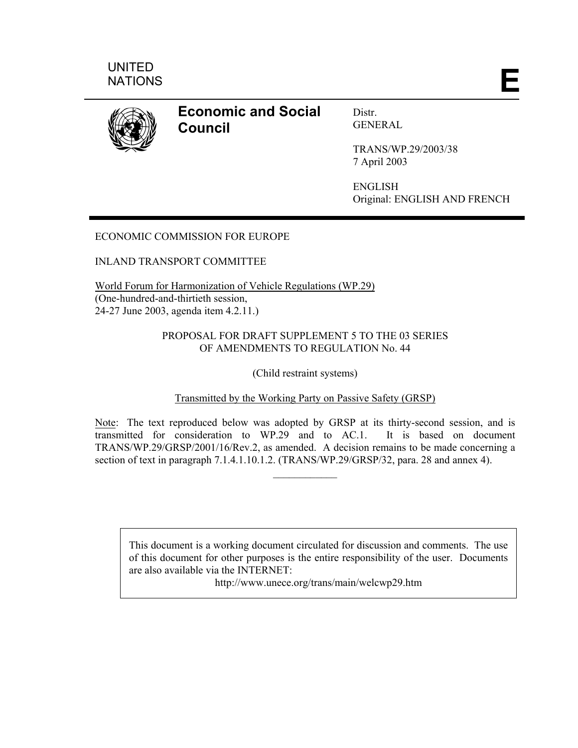



**Economic and Social Council** 

Distr. **GENERAL** 

TRANS/WP.29/2003/38 7 April 2003

ENGLISH Original: ENGLISH AND FRENCH

# ECONOMIC COMMISSION FOR EUROPE

## INLAND TRANSPORT COMMITTEE

World Forum for Harmonization of Vehicle Regulations (WP.29) (One-hundred-and-thirtieth session, 24-27 June 2003, agenda item 4.2.11.)

## PROPOSAL FOR DRAFT SUPPLEMENT 5 TO THE 03 SERIES OF AMENDMENTS TO REGULATION No. 44

(Child restraint systems)

## Transmitted by the Working Party on Passive Safety (GRSP)

Note: The text reproduced below was adopted by GRSP at its thirty-second session, and is transmitted for consideration to WP.29 and to AC.1. It is based on document TRANS/WP.29/GRSP/2001/16/Rev.2, as amended. A decision remains to be made concerning a section of text in paragraph 7.1.4.1.10.1.2. (TRANS/WP.29/GRSP/32, para. 28 and annex 4).

 $\mathcal{L}_\text{max}$ 

This document is a working document circulated for discussion and comments. The use of this document for other purposes is the entire responsibility of the user. Documents are also available via the INTERNET:

http://www.unece.org/trans/main/welcwp29.htm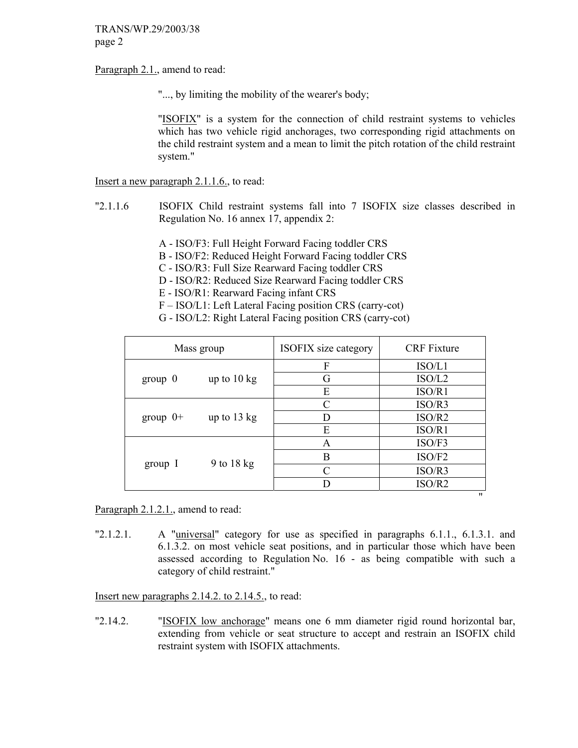Paragraph 2.1., amend to read:

"..., by limiting the mobility of the wearer's body;

 "ISOFIX" is a system for the connection of child restraint systems to vehicles which has two vehicle rigid anchorages, two corresponding rigid attachments on the child restraint system and a mean to limit the pitch rotation of the child restraint system."

Insert a new paragraph 2.1.1.6., to read:

- "2.1.1.6 ISOFIX Child restraint systems fall into 7 ISOFIX size classes described in Regulation No. 16 annex 17, appendix 2:
	- A ISO/F3: Full Height Forward Facing toddler CRS
	- B ISO/F2: Reduced Height Forward Facing toddler CRS
	- C ISO/R3: Full Size Rearward Facing toddler CRS
	- D ISO/R2: Reduced Size Rearward Facing toddler CRS
	- E ISO/R1: Rearward Facing infant CRS
	- F ISO/L1: Left Lateral Facing position CRS (carry-cot)
	- G ISO/L2: Right Lateral Facing position CRS (carry-cot)

|            | Mass group            | <b>ISOFIX</b> size category | <b>CRF</b> Fixture |  |
|------------|-----------------------|-----------------------------|--------------------|--|
|            |                       | F                           | ISO/L1             |  |
| $group\ 0$ | up to $10 \text{ kg}$ | G                           | ISO/L2             |  |
|            |                       | E                           | ISO/R1             |  |
|            | up to $13 \text{ kg}$ | $\mathcal{C}$               | ISO/R3             |  |
| group $0+$ |                       | D                           | ISO/R2             |  |
|            |                       | E                           | ISO/R1             |  |
|            | 9 to $18 \text{ kg}$  | A                           | ISO/F3             |  |
|            |                       | B                           | ISO/F2             |  |
| group I    |                       | $\mathcal{C}_{\mathcal{C}}$ | ISO/R3             |  |
|            |                       |                             | ISO/R2             |  |

Paragraph 2.1.2.1., amend to read:

"2.1.2.1. A "universal" category for use as specified in paragraphs 6.1.1., 6.1.3.1. and 6.1.3.2. on most vehicle seat positions, and in particular those which have been assessed according to Regulation No. 16 - as being compatible with such a category of child restraint."

Insert new paragraphs 2.14.2. to 2.14.5., to read:

"2.14.2. "ISOFIX low anchorage" means one 6 mm diameter rigid round horizontal bar, extending from vehicle or seat structure to accept and restrain an ISOFIX child restraint system with ISOFIX attachments.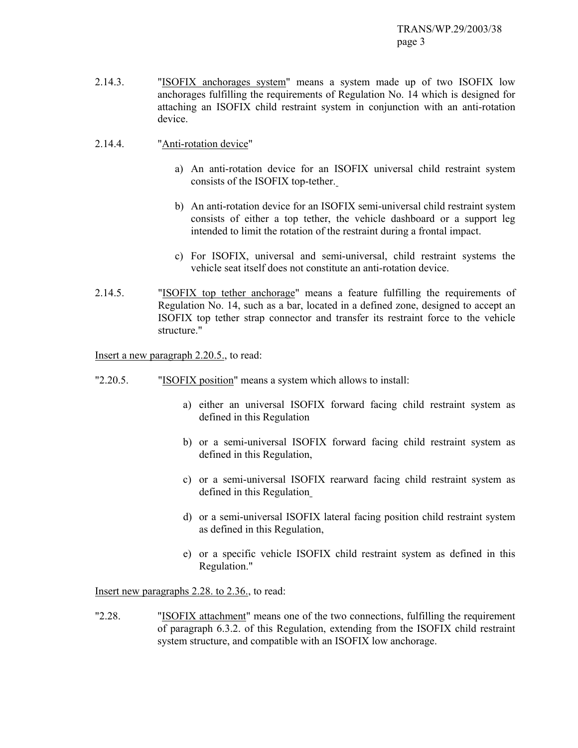- 2.14.3. "ISOFIX anchorages system" means a system made up of two ISOFIX low anchorages fulfilling the requirements of Regulation No. 14 which is designed for attaching an ISOFIX child restraint system in conjunction with an anti-rotation device.
- 2.14.4. "Anti-rotation device"
	- a) An anti-rotation device for an ISOFIX universal child restraint system consists of the ISOFIX top-tether.
	- b) An anti-rotation device for an ISOFIX semi-universal child restraint system consists of either a top tether, the vehicle dashboard or a support leg intended to limit the rotation of the restraint during a frontal impact.
	- c) For ISOFIX, universal and semi-universal, child restraint systems the vehicle seat itself does not constitute an anti-rotation device.
- 2.14.5. "ISOFIX top tether anchorage" means a feature fulfilling the requirements of Regulation No. 14, such as a bar, located in a defined zone, designed to accept an ISOFIX top tether strap connector and transfer its restraint force to the vehicle structure."

Insert a new paragraph 2.20.5., to read:

- "2.20.5. "ISOFIX position" means a system which allows to install:
	- a) either an universal ISOFIX forward facing child restraint system as defined in this Regulation
	- b) or a semi-universal ISOFIX forward facing child restraint system as defined in this Regulation,
	- c) or a semi-universal ISOFIX rearward facing child restraint system as defined in this Regulation
	- d) or a semi-universal ISOFIX lateral facing position child restraint system as defined in this Regulation,
	- e) or a specific vehicle ISOFIX child restraint system as defined in this Regulation."

Insert new paragraphs 2.28. to 2.36., to read:

"2.28. "ISOFIX attachment" means one of the two connections, fulfilling the requirement of paragraph 6.3.2. of this Regulation, extending from the ISOFIX child restraint system structure, and compatible with an ISOFIX low anchorage.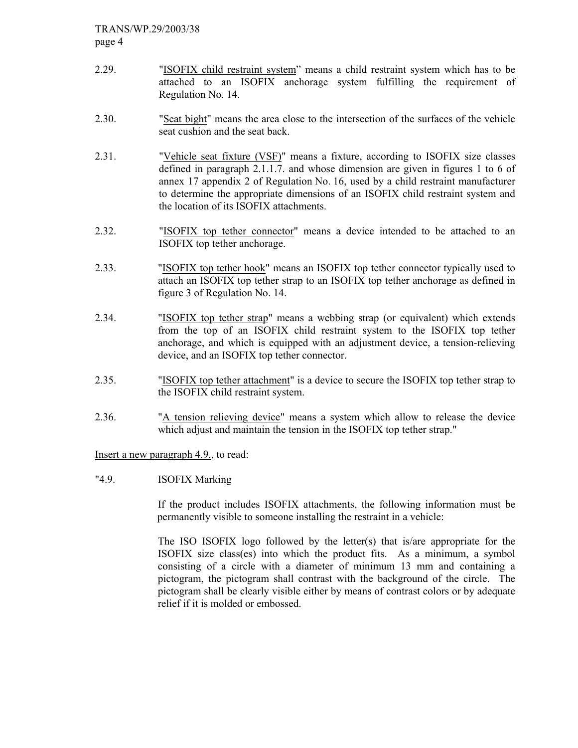- 2.29. "ISOFIX child restraint system" means a child restraint system which has to be attached to an ISOFIX anchorage system fulfilling the requirement of Regulation No. 14.
- 2.30. "Seat bight" means the area close to the intersection of the surfaces of the vehicle seat cushion and the seat back.
- 2.31. "Vehicle seat fixture (VSF)" means a fixture, according to ISOFIX size classes defined in paragraph 2.1.1.7. and whose dimension are given in figures 1 to 6 of annex 17 appendix 2 of Regulation No. 16, used by a child restraint manufacturer to determine the appropriate dimensions of an ISOFIX child restraint system and the location of its ISOFIX attachments.
- 2.32. "ISOFIX top tether connector" means a device intended to be attached to an ISOFIX top tether anchorage.
- 2.33. "ISOFIX top tether hook" means an ISOFIX top tether connector typically used to attach an ISOFIX top tether strap to an ISOFIX top tether anchorage as defined in figure 3 of Regulation No. 14.
- 2.34. "ISOFIX top tether strap" means a webbing strap (or equivalent) which extends from the top of an ISOFIX child restraint system to the ISOFIX top tether anchorage, and which is equipped with an adjustment device, a tension-relieving device, and an ISOFIX top tether connector.
- 2.35. "ISOFIX top tether attachment" is a device to secure the ISOFIX top tether strap to the ISOFIX child restraint system.
- 2.36. "A tension relieving device" means a system which allow to release the device which adjust and maintain the tension in the ISOFIX top tether strap."

Insert a new paragraph 4.9., to read:

"4.9. ISOFIX Marking

If the product includes ISOFIX attachments, the following information must be permanently visible to someone installing the restraint in a vehicle:

The ISO ISOFIX logo followed by the letter(s) that is/are appropriate for the ISOFIX size class(es) into which the product fits. As a minimum, a symbol consisting of a circle with a diameter of minimum 13 mm and containing a pictogram, the pictogram shall contrast with the background of the circle. The pictogram shall be clearly visible either by means of contrast colors or by adequate relief if it is molded or embossed.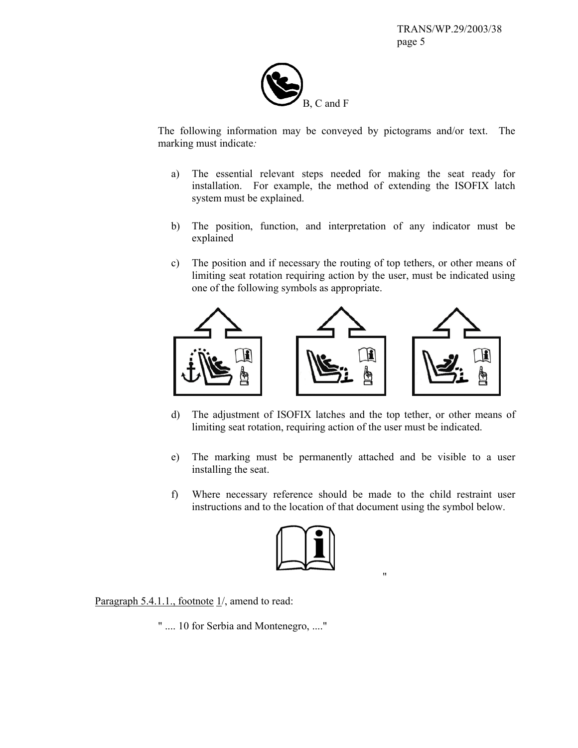

The following information may be conveyed by pictograms and/or text. The marking must indicate*:* 

- a) The essential relevant steps needed for making the seat ready for installation. For example, the method of extending the ISOFIX latch system must be explained.
- b) The position, function, and interpretation of any indicator must be explained
- c) The position and if necessary the routing of top tethers, or other means of limiting seat rotation requiring action by the user, must be indicated using one of the following symbols as appropriate.



- d) The adjustment of ISOFIX latches and the top tether, or other means of limiting seat rotation, requiring action of the user must be indicated.
- e) The marking must be permanently attached and be visible to a user installing the seat.
- f) Where necessary reference should be made to the child restraint user instructions and to the location of that document using the symbol below.



Paragraph  $5.4.1.1$ ., footnote  $1/$ , amend to read:

" .... 10 for Serbia and Montenegro, ...."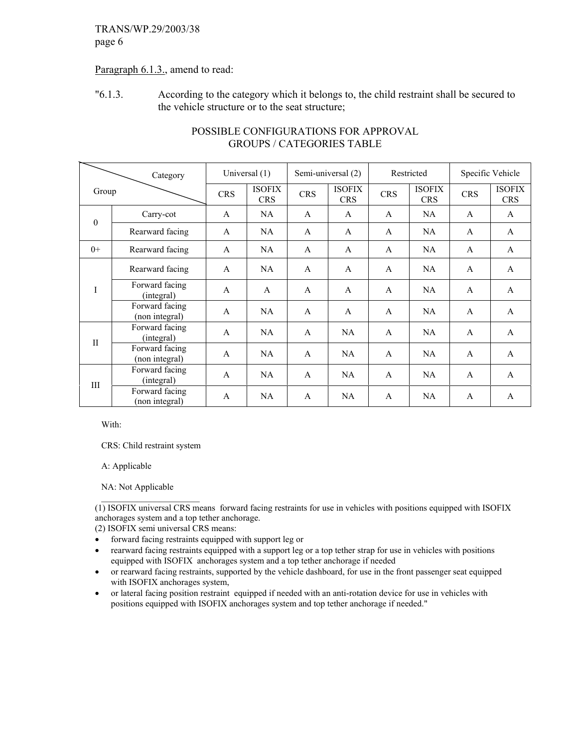## Paragraph 6.1.3., amend to read:

"6.1.3. According to the category which it belongs to, the child restraint shall be secured to the vehicle structure or to the seat structure;

|              | Category                         |              | Universal (1)               |              | Semi-universal (2)          |              | Restricted                  |              | Specific Vehicle            |
|--------------|----------------------------------|--------------|-----------------------------|--------------|-----------------------------|--------------|-----------------------------|--------------|-----------------------------|
| Group        |                                  | <b>CRS</b>   | <b>ISOFIX</b><br><b>CRS</b> | <b>CRS</b>   | <b>ISOFIX</b><br><b>CRS</b> | <b>CRS</b>   | <b>ISOFIX</b><br><b>CRS</b> | <b>CRS</b>   | <b>ISOFIX</b><br><b>CRS</b> |
| $\theta$     | Carry-cot                        | A            | NA                          | A            | A                           | A            | NA                          | A            | A                           |
|              | Rearward facing                  | A            | <b>NA</b>                   | A            | A                           | A            | NA                          | A            | A                           |
| $0+$         | Rearward facing                  | A            | <b>NA</b>                   | $\mathsf{A}$ | $\overline{A}$              | $\mathsf{A}$ | NA                          | $\mathsf{A}$ | $\overline{A}$              |
| I            | Rearward facing                  | A            | NA                          | A            | A                           | $\mathsf{A}$ | NA.                         | A            | $\mathbf{A}$                |
|              | Forward facing<br>(integral)     | $\mathsf{A}$ | $\mathsf{A}$                | $\mathsf{A}$ | $\overline{A}$              | $\mathsf{A}$ | NA                          | $\mathsf{A}$ | $\mathsf{A}$                |
|              | Forward facing<br>(non integral) | A            | NA                          | $\mathsf{A}$ | A                           | $\mathsf{A}$ | NA                          | $\mathsf{A}$ | A                           |
| $\mathbf{I}$ | Forward facing<br>(integral)     | A            | NA                          | A            | NA.                         | A            | NA.                         | A            | $\mathbf{A}$                |
|              | Forward facing<br>(non integral) | A            | <b>NA</b>                   | $\mathsf{A}$ | NA                          | $\mathsf{A}$ | NA                          | $\mathsf{A}$ | $\overline{A}$              |
| Ш            | Forward facing<br>(integral)     | A            | <b>NA</b>                   | A            | NA.                         | A            | NA.                         | A            | $\mathbf{A}$                |
|              | Forward facing<br>(non integral) | A            | NA                          | A            | NA                          | A            | NA                          | A            | A                           |

## POSSIBLE CONFIGURATIONS FOR APPROVAL GROUPS / CATEGORIES TABLE

With:

CRS: Child restraint system

A: Applicable

NA: Not Applicable

 $\mathcal{L}_\text{max}$ (1) ISOFIX universal CRS means forward facing restraints for use in vehicles with positions equipped with ISOFIX anchorages system and a top tether anchorage.

(2) ISOFIX semi universal CRS means:

- forward facing restraints equipped with support leg or
- rearward facing restraints equipped with a support leg or a top tether strap for use in vehicles with positions equipped with ISOFIX anchorages system and a top tether anchorage if needed
- or rearward facing restraints, supported by the vehicle dashboard, for use in the front passenger seat equipped with ISOFIX anchorages system,
- or lateral facing position restraint equipped if needed with an anti-rotation device for use in vehicles with positions equipped with ISOFIX anchorages system and top tether anchorage if needed."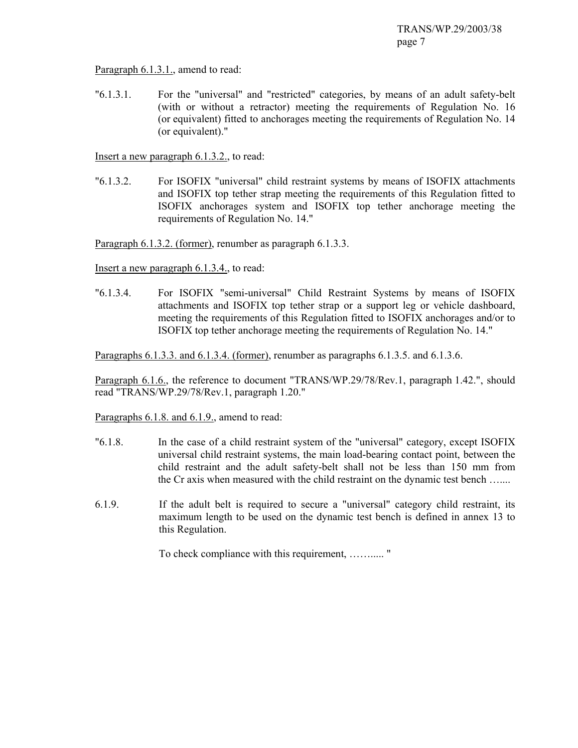Paragraph 6.1.3.1., amend to read:

"6.1.3.1. For the "universal" and "restricted" categories, by means of an adult safety-belt (with or without a retractor) meeting the requirements of Regulation No. 16 (or equivalent) fitted to anchorages meeting the requirements of Regulation No. 14 (or equivalent)."

Insert a new paragraph 6.1.3.2., to read:

"6.1.3.2. For ISOFIX "universal" child restraint systems by means of ISOFIX attachments and ISOFIX top tether strap meeting the requirements of this Regulation fitted to ISOFIX anchorages system and ISOFIX top tether anchorage meeting the requirements of Regulation No. 14."

Paragraph 6.1.3.2. (former), renumber as paragraph 6.1.3.3.

Insert a new paragraph 6.1.3.4., to read:

"6.1.3.4. For ISOFIX "semi-universal" Child Restraint Systems by means of ISOFIX attachments and ISOFIX top tether strap or a support leg or vehicle dashboard, meeting the requirements of this Regulation fitted to ISOFIX anchorages and/or to ISOFIX top tether anchorage meeting the requirements of Regulation No. 14."

Paragraphs 6.1.3.3. and 6.1.3.4. (former), renumber as paragraphs 6.1.3.5. and 6.1.3.6.

Paragraph 6.1.6., the reference to document "TRANS/WP.29/78/Rev.1, paragraph 1.42.", should read "TRANS/WP.29/78/Rev.1, paragraph 1.20."

Paragraphs 6.1.8. and 6.1.9., amend to read:

- "6.1.8. In the case of a child restraint system of the "universal" category, except ISOFIX universal child restraint systems, the main load-bearing contact point, between the child restraint and the adult safety-belt shall not be less than 150 mm from the Cr axis when measured with the child restraint on the dynamic test bench …....
- 6.1.9. If the adult belt is required to secure a "universal" category child restraint, its maximum length to be used on the dynamic test bench is defined in annex 13 to this Regulation.

To check compliance with this requirement, ……..... "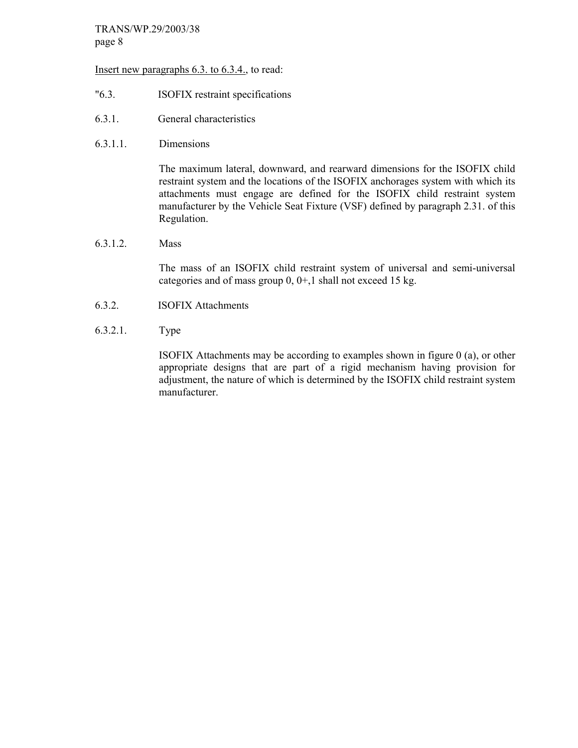#### Insert new paragraphs 6.3. to 6.3.4., to read:

- "6.3. ISOFIX restraint specifications
- 6.3.1. General characteristics
- 6.3.1.1. Dimensions

The maximum lateral, downward, and rearward dimensions for the ISOFIX child restraint system and the locations of the ISOFIX anchorages system with which its attachments must engage are defined for the ISOFIX child restraint system manufacturer by the Vehicle Seat Fixture (VSF) defined by paragraph 2.31. of this Regulation.

#### 6.3.1.2. Mass

The mass of an ISOFIX child restraint system of universal and semi-universal categories and of mass group 0, 0+,1 shall not exceed 15 kg.

- 6.3.2. ISOFIX Attachments
- 6.3.2.1. Type

ISOFIX Attachments may be according to examples shown in figure 0 (a), or other appropriate designs that are part of a rigid mechanism having provision for adjustment, the nature of which is determined by the ISOFIX child restraint system manufacturer.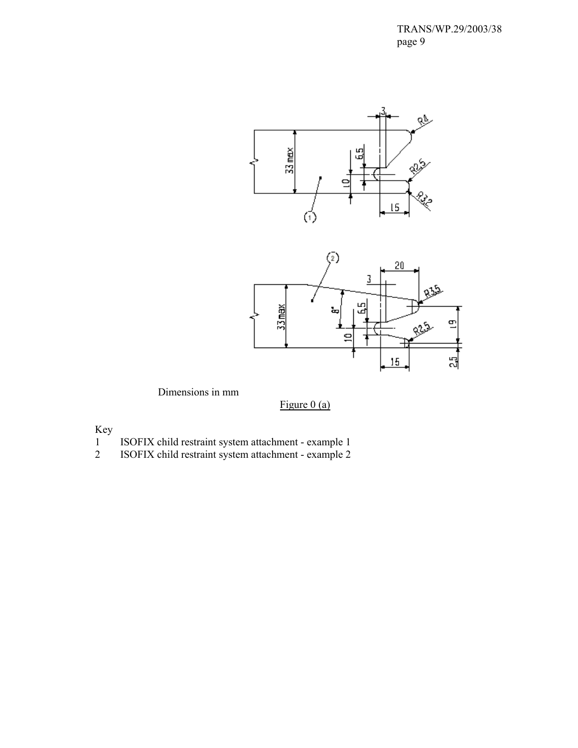



Dimensions in mm

Figure  $0$  (a)

Key

- 1 ISOFIX child restraint system attachment example 1
- 2 ISOFIX child restraint system attachment example 2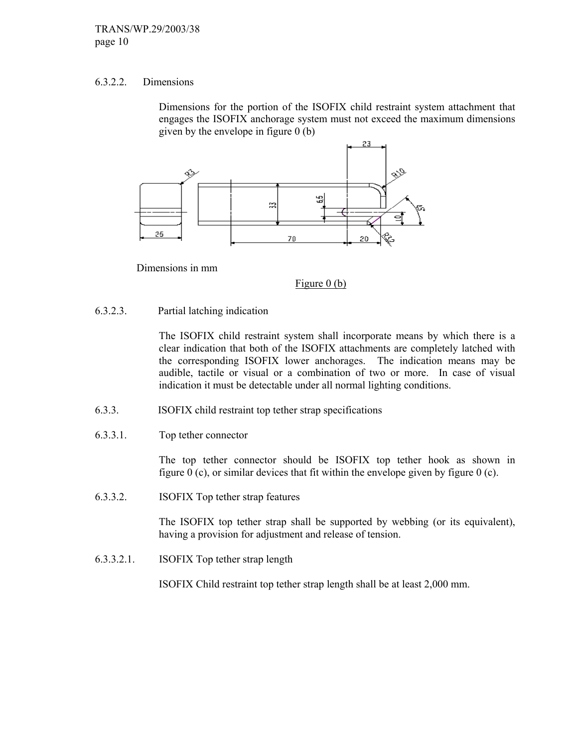#### 6.3.2.2. Dimensions

Dimensions for the portion of the ISOFIX child restraint system attachment that engages the ISOFIX anchorage system must not exceed the maximum dimensions given by the envelope in figure  $0$  (b)



Dimensions in mm

Figure 0 (b)

#### 6.3.2.3. Partial latching indication

The ISOFIX child restraint system shall incorporate means by which there is a clear indication that both of the ISOFIX attachments are completely latched with the corresponding ISOFIX lower anchorages. The indication means may be audible, tactile or visual or a combination of two or more. In case of visual indication it must be detectable under all normal lighting conditions.

- 6.3.3. ISOFIX child restraint top tether strap specifications
- 6.3.3.1. Top tether connector

The top tether connector should be ISOFIX top tether hook as shown in figure  $0$  (c), or similar devices that fit within the envelope given by figure  $0$  (c).

6.3.3.2. ISOFIX Top tether strap features

The ISOFIX top tether strap shall be supported by webbing (or its equivalent), having a provision for adjustment and release of tension.

6.3.3.2.1. ISOFIX Top tether strap length

ISOFIX Child restraint top tether strap length shall be at least 2,000 mm.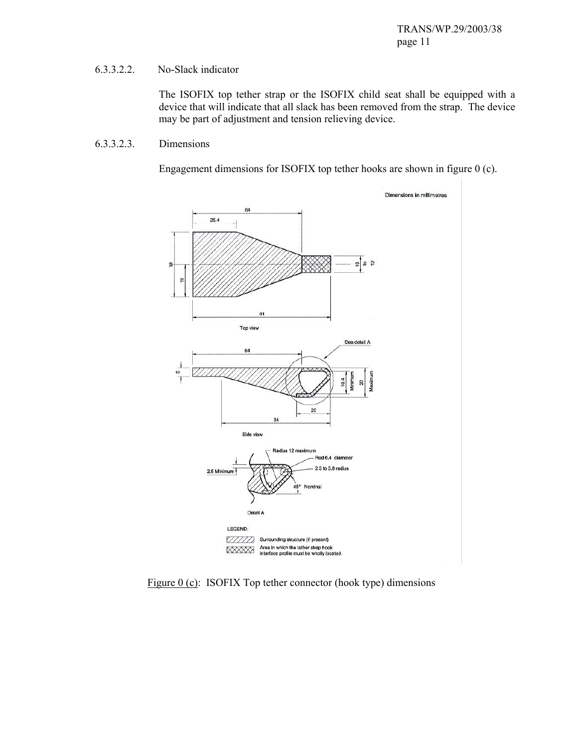#### 6.3.3.2.2. No-Slack indicator

The ISOFIX top tether strap or the ISOFIX child seat shall be equipped with a device that will indicate that all slack has been removed from the strap. The device may be part of adjustment and tension relieving device.

#### 6.3.3.2.3. Dimensions

Engagement dimensions for ISOFIX top tether hooks are shown in figure 0 (c).



Figure 0 (c): ISOFIX Top tether connector (hook type) dimensions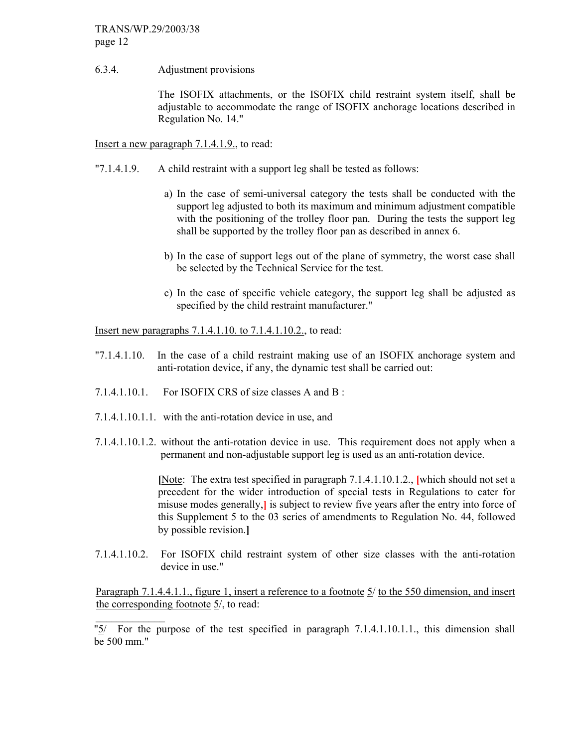6.3.4. Adjustment provisions

 The ISOFIX attachments, or the ISOFIX child restraint system itself, shall be adjustable to accommodate the range of ISOFIX anchorage locations described in Regulation No. 14."

Insert a new paragraph 7.1.4.1.9., to read:

- "7.1.4.1.9. A child restraint with a support leg shall be tested as follows:
	- a) In the case of semi-universal category the tests shall be conducted with the support leg adjusted to both its maximum and minimum adjustment compatible with the positioning of the trolley floor pan. During the tests the support leg shall be supported by the trolley floor pan as described in annex 6.
	- b) In the case of support legs out of the plane of symmetry, the worst case shall be selected by the Technical Service for the test.
	- c) In the case of specific vehicle category, the support leg shall be adjusted as specified by the child restraint manufacturer."

Insert new paragraphs 7.1.4.1.10. to 7.1.4.1.10.2., to read:

- "7.1.4.1.10. In the case of a child restraint making use of an ISOFIX anchorage system and anti-rotation device, if any, the dynamic test shall be carried out:
- 7.1.4.1.10.1. For ISOFIX CRS of size classes A and B :
- 7.1.4.1.10.1.1. with the anti-rotation device in use, and

 $\mathcal{L}_\text{max}$ 

7.1.4.1.10.1.2. without the anti-rotation device in use. This requirement does not apply when a permanent and non-adjustable support leg is used as an anti-rotation device.

> **[**Note: The extra test specified in paragraph 7.1.4.1.10.1.2., **[**which should not set a precedent for the wider introduction of special tests in Regulations to cater for misuse modes generally,**]** is subject to review five years after the entry into force of this Supplement 5 to the 03 series of amendments to Regulation No. 44, followed by possible revision.**]**

7.1.4.1.10.2. For ISOFIX child restraint system of other size classes with the anti-rotation device in use."

Paragraph 7.1.4.4.1.1., figure 1, insert a reference to a footnote 5/ to the 550 dimension, and insert the corresponding footnote 5/, to read:

"5/ For the purpose of the test specified in paragraph 7.1.4.1.10.1.1., this dimension shall be 500 mm."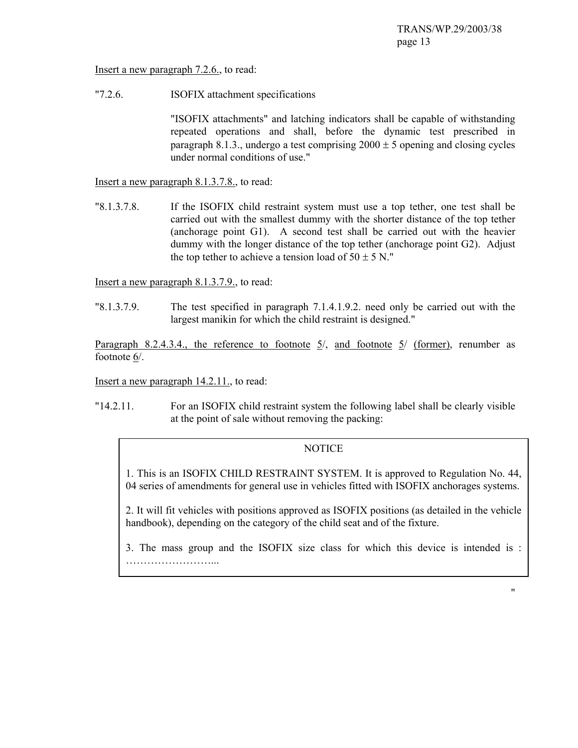Insert a new paragraph 7.2.6., to read:

"7.2.6. ISOFIX attachment specifications

 "ISOFIX attachments" and latching indicators shall be capable of withstanding repeated operations and shall, before the dynamic test prescribed in paragraph 8.1.3., undergo a test comprising  $2000 \pm 5$  opening and closing cycles under normal conditions of use."

Insert a new paragraph 8.1.3.7.8., to read:

"8.1.3.7.8. If the ISOFIX child restraint system must use a top tether, one test shall be carried out with the smallest dummy with the shorter distance of the top tether (anchorage point G1). A second test shall be carried out with the heavier dummy with the longer distance of the top tether (anchorage point G2). Adjust the top tether to achieve a tension load of  $50 \pm 5$  N."

Insert a new paragraph 8.1.3.7.9., to read:

"8.1.3.7.9. The test specified in paragraph 7.1.4.1.9.2. need only be carried out with the largest manikin for which the child restraint is designed."

Paragraph 8.2.4.3.4., the reference to footnote  $\frac{5}{}$ , and footnote  $\frac{5}{}$  (former), renumber as footnote 6/.

Insert a new paragraph 14.2.11., to read:

"14.2.11. For an ISOFIX child restraint system the following label shall be clearly visible at the point of sale without removing the packing:

#### NOTICE

1. This is an ISOFIX CHILD RESTRAINT SYSTEM. It is approved to Regulation No. 44, 04 series of amendments for general use in vehicles fitted with ISOFIX anchorages systems.

2. It will fit vehicles with positions approved as ISOFIX positions (as detailed in the vehicle handbook), depending on the category of the child seat and of the fixture.

3. The mass group and the ISOFIX size class for which this device is intended is : ……………………...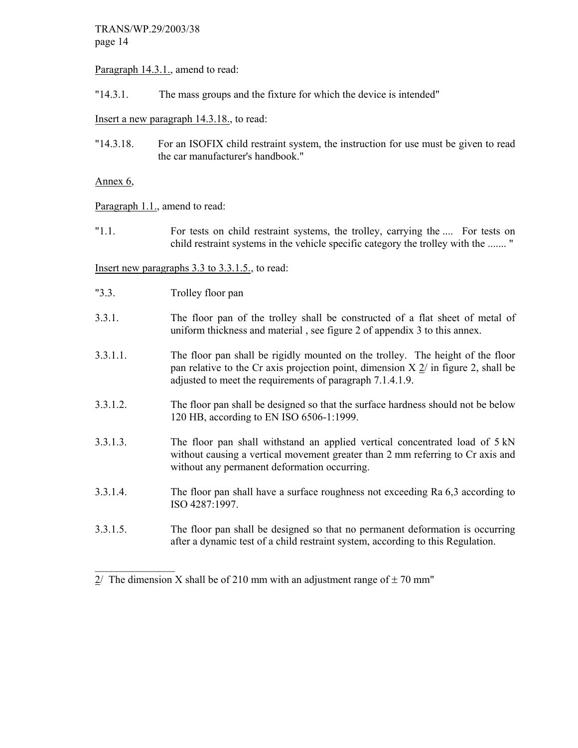Paragraph 14.3.1., amend to read:

"14.3.1. The mass groups and the fixture for which the device is intended"

Insert a new paragraph 14.3.18., to read:

"14.3.18. For an ISOFIX child restraint system, the instruction for use must be given to read the car manufacturer's handbook."

Annex 6,

Paragraph 1.1., amend to read:

"1.1. For tests on child restraint systems, the trolley, carrying the .... For tests on child restraint systems in the vehicle specific category the trolley with the ....... "

Insert new paragraphs 3.3 to 3.3.1.5., to read:

"3.3. Trolley floor pan

 $\mathcal{L}_\text{max}$ 

- 3.3.1. The floor pan of the trolley shall be constructed of a flat sheet of metal of uniform thickness and material , see figure 2 of appendix 3 to this annex.
- 3.3.1.1. The floor pan shall be rigidly mounted on the trolley. The height of the floor pan relative to the Cr axis projection point, dimension  $X \sim 2$  in figure 2, shall be adjusted to meet the requirements of paragraph 7.1.4.1.9.
- 3.3.1.2. The floor pan shall be designed so that the surface hardness should not be below 120 HB, according to EN ISO 6506-1:1999.
- 3.3.1.3. The floor pan shall withstand an applied vertical concentrated load of 5 kN without causing a vertical movement greater than 2 mm referring to Cr axis and without any permanent deformation occurring.
- 3.3.1.4. The floor pan shall have a surface roughness not exceeding Ra 6,3 according to ISO 4287:1997.
- 3.3.1.5. The floor pan shall be designed so that no permanent deformation is occurring after a dynamic test of a child restraint system, according to this Regulation.

 $2/$  The dimension X shall be of 210 mm with an adjustment range of  $\pm$  70 mm"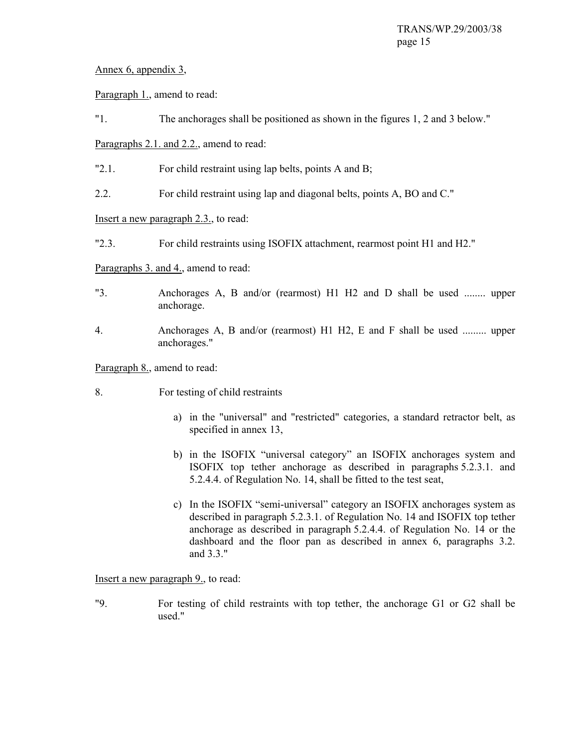## Annex 6, appendix 3,

Paragraph 1., amend to read:

"1. The anchorages shall be positioned as shown in the figures 1, 2 and 3 below."

Paragraphs 2.1. and 2.2., amend to read:

- "2.1. For child restraint using lap belts, points A and B;
- 2.2. For child restraint using lap and diagonal belts, points A, BO and C."

## Insert a new paragraph 2.3., to read:

"2.3. For child restraints using ISOFIX attachment, rearmost point H1 and H2."

Paragraphs 3. and 4., amend to read:

- "3. Anchorages A, B and/or (rearmost) H1 H2 and D shall be used ........ upper anchorage.
- 4. Anchorages A, B and/or (rearmost) H1 H2, E and F shall be used ......... upper anchorages."

Paragraph 8., amend to read:

- 8. For testing of child restraints
	- a) in the "universal" and "restricted" categories, a standard retractor belt, as specified in annex 13,
	- b) in the ISOFIX "universal category" an ISOFIX anchorages system and ISOFIX top tether anchorage as described in paragraphs 5.2.3.1. and 5.2.4.4. of Regulation No. 14, shall be fitted to the test seat,
	- c) In the ISOFIX "semi-universal" category an ISOFIX anchorages system as described in paragraph 5.2.3.1. of Regulation No. 14 and ISOFIX top tether anchorage as described in paragraph 5.2.4.4. of Regulation No. 14 or the dashboard and the floor pan as described in annex 6, paragraphs 3.2. and 3.3."

Insert a new paragraph 9., to read:

"9. For testing of child restraints with top tether, the anchorage G1 or G2 shall be used."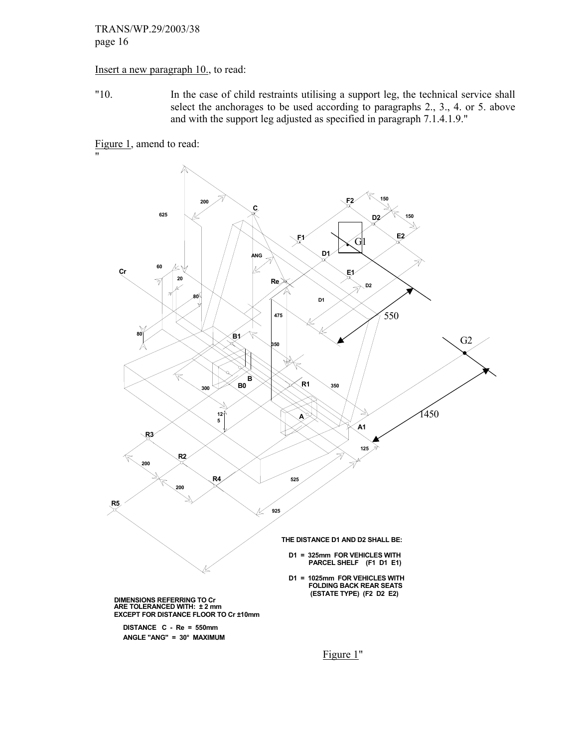#### Insert a new paragraph 10., to read:

"10. In the case of child restraints utilising a support leg, the technical service shall select the anchorages to be used according to paragraphs 2., 3., 4. or 5. above and with the support leg adjusted as specified in paragraph 7.1.4.1.9."

Figure 1, amend to read:

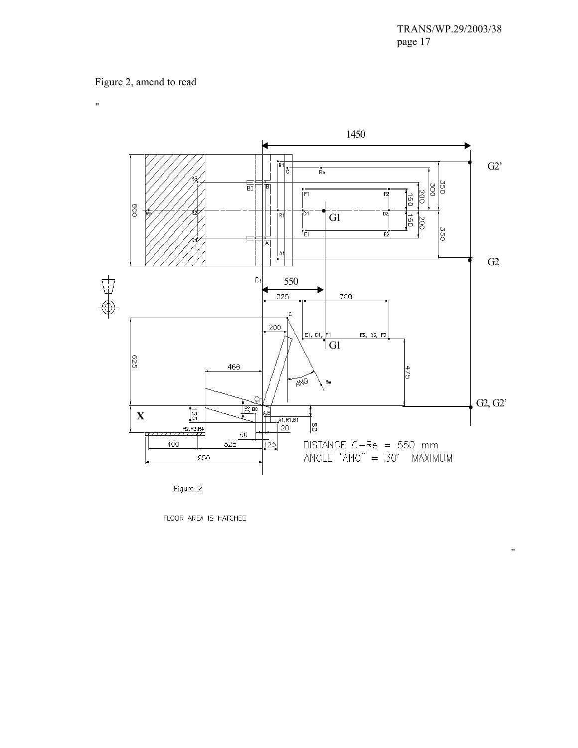$\bar{\theta}$ 

## Figure 2, amend to read

 $^{\prime\prime}$ 



FLOOR AREA IS HATCHED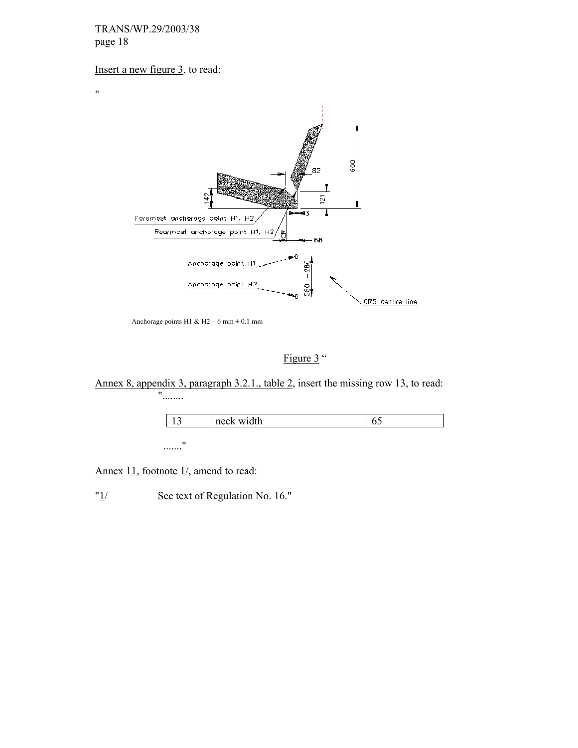$\mathbf{u}$ 

# Insert a new figure 3, to read:



Anchorage points H1 & H2 – 6 mm  $\pm$  0.1 mm

Figure 3"

Annex 8, appendix 3, paragraph 3.2.1., table 2, insert the missing row 13, to read: "........

|               | neck width | ັ |
|---------------|------------|---|
|               |            |   |
| $\sim$ $\sim$ |            |   |

......."

Annex 11, footnote  $1/$ , amend to read:

"<sup>1</sup>/ See text of Regulation No. 16."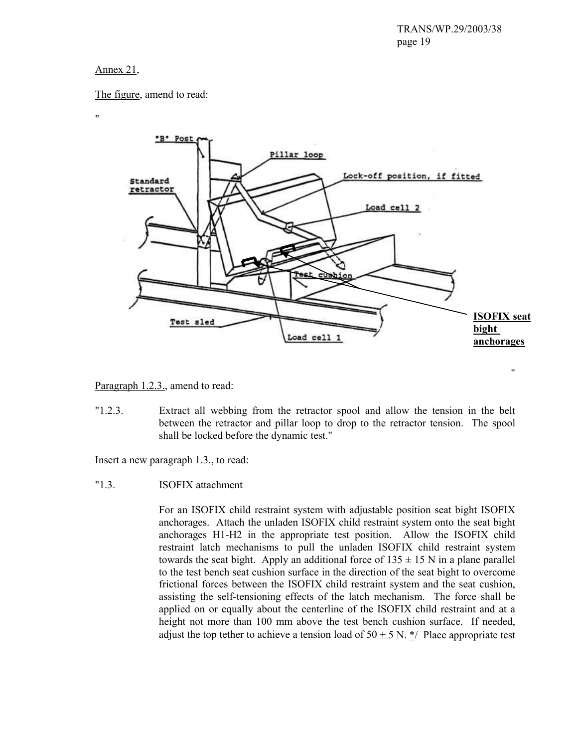#### Annex 21,

The figure, amend to read:

 $\mathbf{u}$ 



Paragraph 1.2.3., amend to read:

"1.2.3. Extract all webbing from the retractor spool and allow the tension in the belt between the retractor and pillar loop to drop to the retractor tension. The spool shall be locked before the dynamic test."

Insert a new paragraph 1.3., to read:

"1.3. ISOFIX attachment

For an ISOFIX child restraint system with adjustable position seat bight ISOFIX anchorages. Attach the unladen ISOFIX child restraint system onto the seat bight anchorages H1-H2 in the appropriate test position. Allow the ISOFIX child restraint latch mechanisms to pull the unladen ISOFIX child restraint system towards the seat bight. Apply an additional force of  $135 \pm 15$  N in a plane parallel to the test bench seat cushion surface in the direction of the seat bight to overcome frictional forces between the ISOFIX child restraint system and the seat cushion, assisting the self-tensioning effects of the latch mechanism. The force shall be applied on or equally about the centerline of the ISOFIX child restraint and at a height not more than 100 mm above the test bench cushion surface. If needed, adjust the top tether to achieve a tension load of  $50 \pm 5$  N. \*/ Place appropriate test